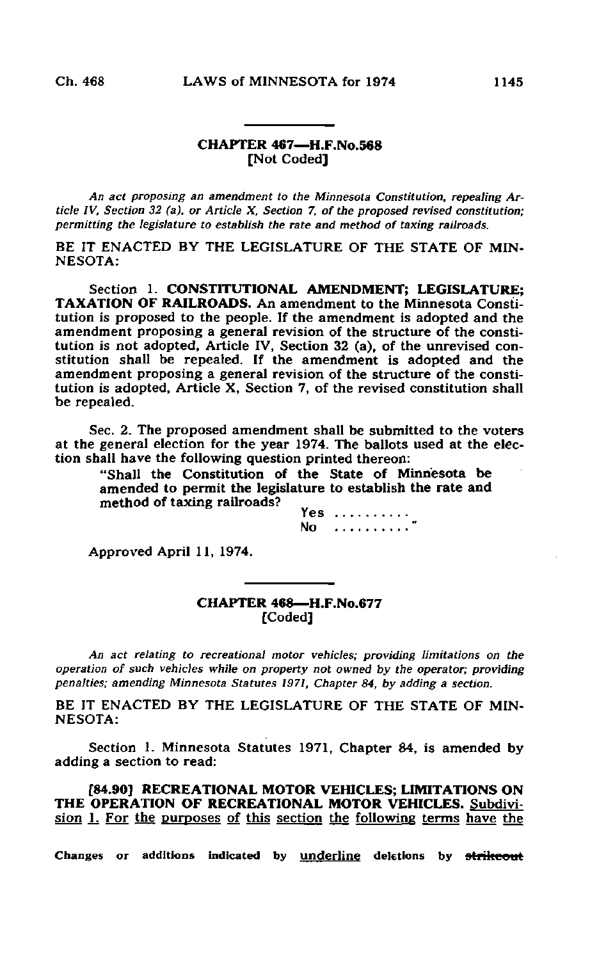## CHAPTER 467—H.F.No.568 [Not Coded]

An act proposing an amendment to the Minnesota Constitution, repeating Article IV, Section 32 (a), or Article X, Section 7, of the proposed revised constitution; permitting the legislature to establish the rate and method of taxing railroads.

BE IT ENACTED BY THE LEGISLATURE OF THE STATE OF MIN-NESOTA:

Section 1. CONSTITUTIONAL AMENDMENT; LEGISLATURE; TAXATION OF RAILROADS. An amendment to the Minnesota Constitution is proposed to the people. If the amendment is adopted and the amendment proposing a general revision of the structure of the constitution is not adopted, Article IV, Section 32 (a), of the unrevised constitution shall be repealed. If the amendment is adopted and the amendment proposing a general revision of the structure of the constitution is adopted, Article X, Section 7, of the revised constitution shall be repealed.

Sec. 2. The proposed amendment shall be submitted to the voters at the general election for the year 1974. The ballots used at the election shall have the following question printed thereon:

"Shall the Constitution of the State of Minnesota be amended to permit the legislature to establish the rate and method of taxing railroads?

Yes ..........  $No$  .........

Approved April 11, 1974.

CHAPTER 468—H.F.No.677 [Coded]

An act relating to recreational motor vehicles; providing limitations on the operation of such vehicles while on property not owned by the operator; providing penalties; amending Minnesota Statutes 1971, Chapter 84, by adding a section.

BE IT ENACTED BY THE LEGISLATURE OF THE STATE OF MIN-NESOTA:

Section 1. Minnesota Statutes 1971, Chapter 84, is amended by adding a section to read:

[84.90] RECREATIONAL MOTOR VEHICLES; LIMITATIONS ON THE OPERATION OF RECREATIONAL MOTOR VEHICLES. Subdivision 1. For the purposes of this section the following terms have the

Changes or additions indicated by underline deletions by strikeout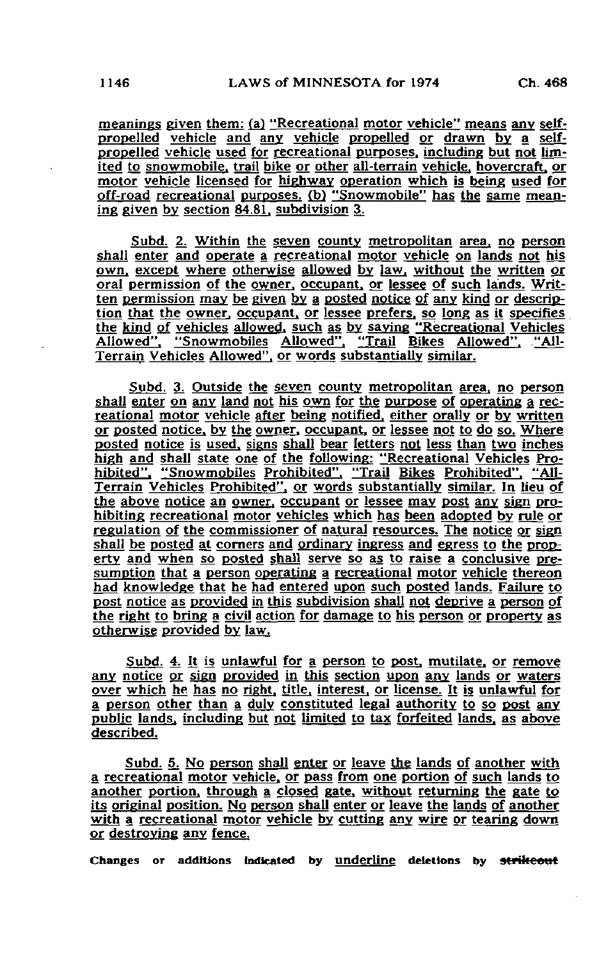meanings given them: (a) "Recreational motor vehicle" means any selfpropelled vehicle and any vehicle propelled or drawn by a selfpropelled vehicle used for recreational purposes, including but not limited to snowmobile, trail bike or other all-terrain vehicle, hovercraft, or motor vehicle licensed for highway operation which is being used for off-road recreational purposes. (b) "Snowmobile" has the same meaning given by section 84.81. subdivision 3;

Subd. 2. Within the seven county metropolitan area, no person shall enter and operate a recreational motor vehicle on lands not his own, except where otherwise allowed by law, without the written or oral permission of the owner, occupant, or lessee of such lands. Written permission may be given by a posted notice of any kind or description that the owner, occupant, or lessee prefers, so long as it specifies the kind of vehicles allowed, such as by saying "Recreational Vehicles Allowed". "Snowmobiles Allowed". "Trail Bikes Allowed". ."A1I-Terrain Vehicles Allowed", or words substantially similar.

Subd. 3. Outside the seven county metropolitan area, no person shall enter on any land not his own for the purpose of operating a recreational motor vehicle after being notified, either orally or by written or posted notice, by the owner, occupant, or lessee not to do so. Where posted notice is used, signs shall bear letters not less than two inches high and shall state one of the following: "Recreational Vehicles Pro-<br>hibited", "Snowmobiles Prohibited", "Trail Bikes Prohibited", "All-"Snowmobiles Prohibited". "Trail Bikes Prohibited". Terrain Vehicles Prohibited", or words substantially similar. In lieu of the above notice an owner, occupant or lessee may post any sign prohibiting recreational motor vehicles which has been adopted by rule or regulation of the commissioner of natural resources. The notice or sign shall be posted at corners and ordinary ingress and egress to the property and when so posted shall serve so as to raise a conclusive presumption that a person operating a recreational motor vehicle thereon had knowledge that he had entered upon such posted lands. Failure to post notice as provided in this subdivision shall not deprive a person of the right to bring a civil action for damage to his person or property as otherwise provided by law.

Subd. 4. It is unlawful for a person to post, mutilate, or remove any notice or sign provided in this section upon any lands or waters over which he has no right, title, interest, or license. It is unlawful for a person other than a duly constituted legal authority to so post any public lands, including but not limited to tax forfeited lands, as above described.

Subd. 5. No person shall enter or leave the lands of another with a recreational motor vehicle, or pass from one portion of such lands to another portion, through a closed gate, without returning the gate to its original position. No person shall enter or leave the lands of another with a recreational motor vehicle by cutting any wire or tearing down or destroying any fence.

Changes or additions indicated by underline deletions by strikeout